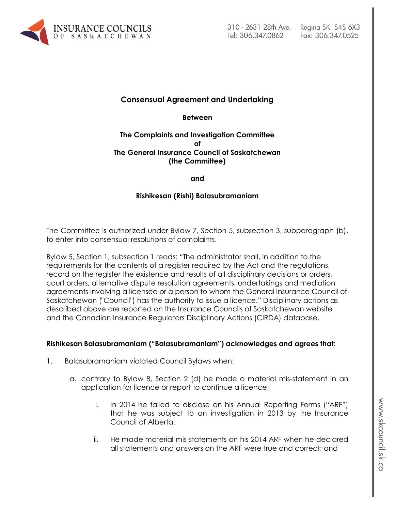

# **Consensual Agreement and Undertaking**

**Between**

#### **The Complaints and Investigation Committee of The General Insurance Council of Saskatchewan (the Committee)**

**and**

## **Rishikesan (Rishi) Balasubramaniam**

The Committee is authorized under Bylaw 7, Section 5, subsection 3, subparagraph (b), to enter into consensual resolutions of complaints.

Bylaw 5, Section 1, subsection 1 reads: "The administrator shall, in addition to the requirements for the contents of a register required by the Act and the regulations, record on the register the existence and results of all disciplinary decisions or orders, court orders, alternative dispute resolution agreements, undertakings and mediation agreements involving a licensee or a person to whom the General Insurance Council of Saskatchewan ("Council") has the authority to issue a licence." Disciplinary actions as described above are reported on the Insurance Councils of Saskatchewan website and the Canadian Insurance Regulators Disciplinary Actions (CIRDA) database.

#### **Rishikesan Balasubramaniam ("Balasubramaniam") acknowledges and agrees that:**

- 1. Balasubramaniam violated Council Bylaws when:
	- a. contrary to Bylaw 8, Section 2 (d) he made a material mis-statement in an application for licence or report to continue a licence;
		- i. In 2014 he failed to disclose on his Annual Reporting Forms ("ARF") that he was subject to an investigation in 2013 by the Insurance Council of Alberta.
		- ii. He made material mis-statements on his 2014 ARF when he declared all statements and answers on the ARF were true and correct; and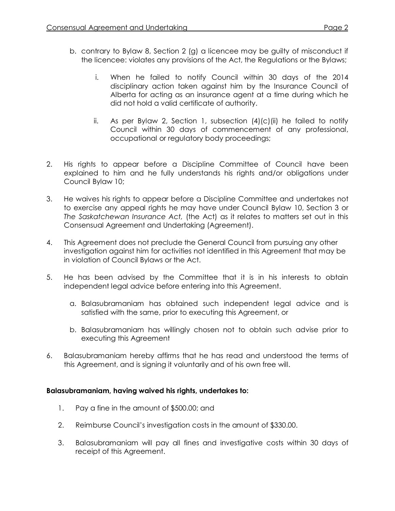- b. contrary to Bylaw 8, Section 2 (g) a licencee may be guilty of misconduct if the licencee: violates any provisions of the Act, the Regulations or the Bylaws;
	- i. When he failed to notify Council within 30 days of the 2014 disciplinary action taken against him by the Insurance Council of Alberta for acting as an insurance agent at a time during which he did not hold a valid certificate of authority.
	- ii. As per Bylaw 2, Section 1, subsection  $(4)(c)(ii)$  he failed to notify Council within 30 days of commencement of any professional, occupational or regulatory body proceedings;
- 2. His rights to appear before a Discipline Committee of Council have been explained to him and he fully understands his rights and/or obligations under Council Bylaw 10;
- 3. He waives his rights to appear before a Discipline Committee and undertakes not to exercise any appeal rights he may have under Council Bylaw 10, Section 3 or *The Saskatchewan Insurance Act,* (the Act) as it relates to matters set out in this Consensual Agreement and Undertaking (Agreement).
- 4. This Agreement does not preclude the General Council from pursuing any other investigation against him for activities not identified in this Agreement that may be in violation of Council Bylaws or the Act.
- 5. He has been advised by the Committee that it is in his interests to obtain independent legal advice before entering into this Agreement.
	- a. Balasubramaniam has obtained such independent legal advice and is satisfied with the same, prior to executing this Agreement, or
	- b. Balasubramaniam has willingly chosen not to obtain such advise prior to executing this Agreement
- 6. Balasubramaniam hereby affirms that he has read and understood the terms of this Agreement, and is signing it voluntarily and of his own free will.

# **Balasubramaniam, having waived his rights, undertakes to:**

- 1. Pay a fine in the amount of \$500.00; and
- 2. Reimburse Council's investigation costs in the amount of \$330.00.
- 3. Balasubramaniam will pay all fines and investigative costs within 30 days of receipt of this Agreement.